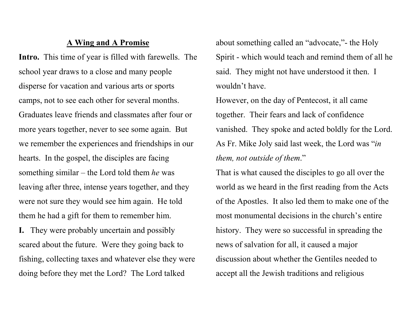## A Wing and A Promise

Intro. This time of year is filled with farewells. The school year draws to a close and many people disperse for vacation and various arts or sports camps, not to see each other for several months. Graduates leave friends and classmates after four or more years together, never to see some again. But we remember the experiences and friendships in our hearts. In the gospel, the disciples are facing something similar – the Lord told them he was leaving after three, intense years together, and they were not sure they would see him again. He told them he had a gift for them to remember him.

I. They were probably uncertain and possibly scared about the future. Were they going back to fishing, collecting taxes and whatever else they were doing before they met the Lord? The Lord talked

about something called an "advocate,"- the Holy Spirit - which would teach and remind them of all he said. They might not have understood it then. I wouldn't have.

However, on the day of Pentecost, it all came together. Their fears and lack of confidence vanished. They spoke and acted boldly for the Lord. As Fr. Mike Joly said last week, the Lord was "in them, not outside of them."

That is what caused the disciples to go all over the world as we heard in the first reading from the Acts of the Apostles. It also led them to make one of the most monumental decisions in the church's entire history. They were so successful in spreading the news of salvation for all, it caused a major discussion about whether the Gentiles needed to accept all the Jewish traditions and religious